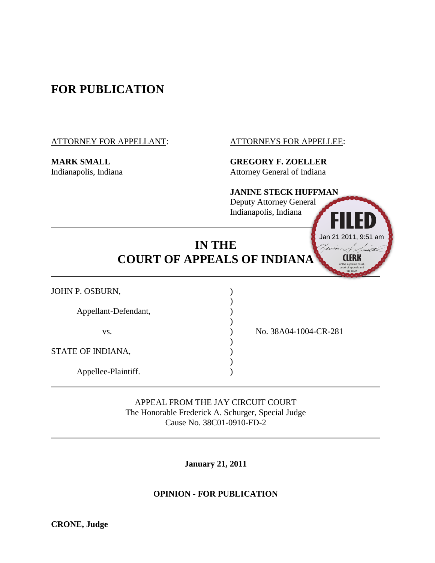# **FOR PUBLICATION**

ATTORNEY FOR APPELLANT: ATTORNEYS FOR APPELLEE:

**MARK SMALL GREGORY F. ZOELLER** Indianapolis, Indiana **Attorney General of Indiana** 

## **JANINE STECK HUFFMAN**

Deputy Attorney General Indianapolis, Indiana



| <b>IN THE</b>                      |  |
|------------------------------------|--|
| <b>COURT OF APPEALS OF INDIANA</b> |  |

)

)

)

| JOHN P. OSBURN,      |  |
|----------------------|--|
| Appellant-Defendant, |  |
| VS.                  |  |
| STATE OF INDIANA,    |  |
| Appellee-Plaintiff.  |  |

) No. 38A04-1004-CR-281

APPEAL FROM THE JAY CIRCUIT COURT The Honorable Frederick A. Schurger, Special Judge Cause No. 38C01-0910-FD-2

**January 21, 2011**

## **OPINION - FOR PUBLICATION**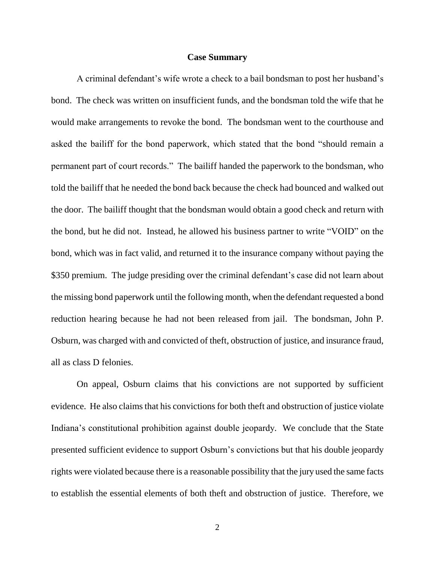#### **Case Summary**

A criminal defendant"s wife wrote a check to a bail bondsman to post her husband"s bond. The check was written on insufficient funds, and the bondsman told the wife that he would make arrangements to revoke the bond. The bondsman went to the courthouse and asked the bailiff for the bond paperwork, which stated that the bond "should remain a permanent part of court records." The bailiff handed the paperwork to the bondsman, who told the bailiff that he needed the bond back because the check had bounced and walked out the door. The bailiff thought that the bondsman would obtain a good check and return with the bond, but he did not. Instead, he allowed his business partner to write "VOID" on the bond, which was in fact valid, and returned it to the insurance company without paying the \$350 premium. The judge presiding over the criminal defendant's case did not learn about the missing bond paperwork until the following month, when the defendant requested a bond reduction hearing because he had not been released from jail. The bondsman, John P. Osburn, was charged with and convicted of theft, obstruction of justice, and insurance fraud, all as class D felonies.

On appeal, Osburn claims that his convictions are not supported by sufficient evidence. He also claims that his convictions for both theft and obstruction of justice violate Indiana"s constitutional prohibition against double jeopardy. We conclude that the State presented sufficient evidence to support Osburn"s convictions but that his double jeopardy rights were violated because there is a reasonable possibility that the jury used the same facts to establish the essential elements of both theft and obstruction of justice. Therefore, we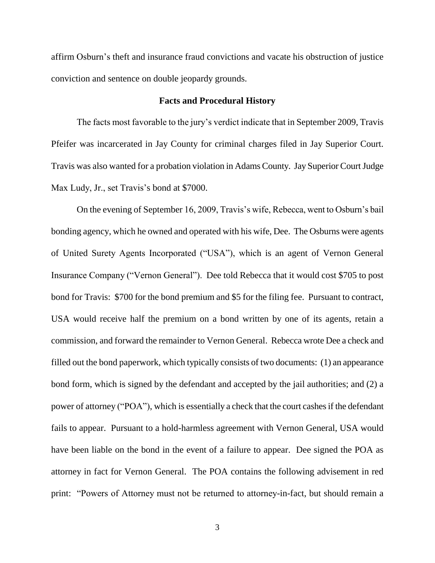affirm Osburn"s theft and insurance fraud convictions and vacate his obstruction of justice conviction and sentence on double jeopardy grounds.

#### **Facts and Procedural History**

The facts most favorable to the jury"s verdict indicate that in September 2009, Travis Pfeifer was incarcerated in Jay County for criminal charges filed in Jay Superior Court. Travis was also wanted for a probation violation in Adams County. Jay Superior Court Judge Max Ludy, Jr., set Travis's bond at \$7000.

On the evening of September 16, 2009, Travis's wife, Rebecca, went to Osburn's bail bonding agency, which he owned and operated with his wife, Dee. The Osburns were agents of United Surety Agents Incorporated ("USA"), which is an agent of Vernon General Insurance Company ("Vernon General"). Dee told Rebecca that it would cost \$705 to post bond for Travis: \$700 for the bond premium and \$5 for the filing fee. Pursuant to contract, USA would receive half the premium on a bond written by one of its agents, retain a commission, and forward the remainder to Vernon General. Rebecca wrote Dee a check and filled out the bond paperwork, which typically consists of two documents: (1) an appearance bond form, which is signed by the defendant and accepted by the jail authorities; and (2) a power of attorney ("POA"), which is essentially a check that the court cashes if the defendant fails to appear. Pursuant to a hold-harmless agreement with Vernon General, USA would have been liable on the bond in the event of a failure to appear. Dee signed the POA as attorney in fact for Vernon General. The POA contains the following advisement in red print: "Powers of Attorney must not be returned to attorney-in-fact, but should remain a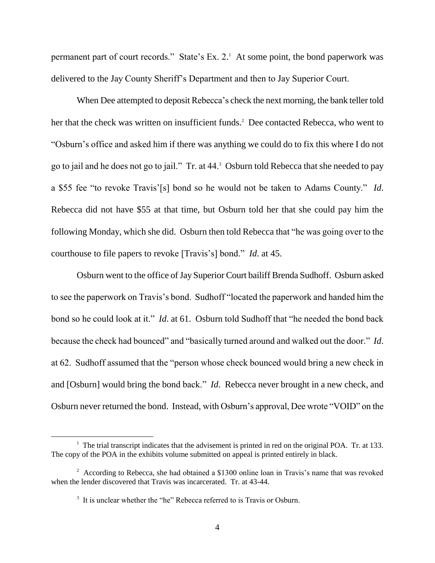permanent part of court records." State's Ex. 2.<sup>1</sup> At some point, the bond paperwork was delivered to the Jay County Sheriff"s Department and then to Jay Superior Court.

When Dee attempted to deposit Rebecca's check the next morning, the bank teller told her that the check was written on insufficient funds.<sup>2</sup> Dee contacted Rebecca, who went to "Osburn"s office and asked him if there was anything we could do to fix this where I do not go to jail and he does not go to jail." Tr. at 44.<sup>3</sup> Osburn told Rebecca that she needed to pay a \$55 fee "to revoke Travis"[s] bond so he would not be taken to Adams County." *Id*. Rebecca did not have \$55 at that time, but Osburn told her that she could pay him the following Monday, which she did. Osburn then told Rebecca that "he was going over to the courthouse to file papers to revoke [Travis"s] bond." *Id*. at 45.

Osburn went to the office of Jay Superior Court bailiff Brenda Sudhoff. Osburn asked to see the paperwork on Travis"s bond. Sudhoff "located the paperwork and handed him the bond so he could look at it." *Id*. at 61. Osburn told Sudhoff that "he needed the bond back because the check had bounced" and "basically turned around and walked out the door." *Id*. at 62. Sudhoff assumed that the "person whose check bounced would bring a new check in and [Osburn] would bring the bond back." *Id*. Rebecca never brought in a new check, and Osburn never returned the bond. Instead, with Osburn"s approval, Dee wrote "VOID" on the

 $<sup>1</sup>$  The trial transcript indicates that the advisement is printed in red on the original POA. Tr. at 133.</sup> The copy of the POA in the exhibits volume submitted on appeal is printed entirely in black.

 $2$  According to Rebecca, she had obtained a \$1300 online loan in Travis's name that was revoked when the lender discovered that Travis was incarcerated. Tr. at 43-44.

<sup>&</sup>lt;sup>3</sup> It is unclear whether the "he" Rebecca referred to is Travis or Osburn.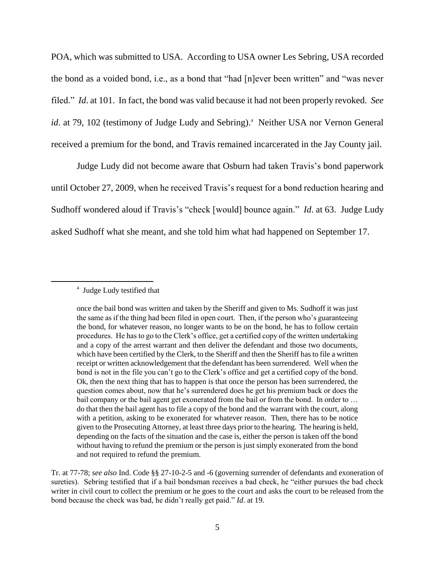POA, which was submitted to USA. According to USA owner Les Sebring, USA recorded the bond as a voided bond, i.e., as a bond that "had [n]ever been written" and "was never filed." *Id*. at 101. In fact, the bond was valid because it had not been properly revoked. *See*  id. at 79, 102 (testimony of Judge Ludy and Sebring).<sup>4</sup> Neither USA nor Vernon General received a premium for the bond, and Travis remained incarcerated in the Jay County jail.

Judge Ludy did not become aware that Osburn had taken Travis's bond paperwork until October 27, 2009, when he received Travis"s request for a bond reduction hearing and Sudhoff wondered aloud if Travis's "check [would] bounce again." *Id.* at 63. Judge Ludy asked Sudhoff what she meant, and she told him what had happened on September 17.

#### 4 Judge Ludy testified that

once the bail bond was written and taken by the Sheriff and given to Ms. Sudhoff it was just the same as if the thing had been filed in open court. Then, if the person who"s guaranteeing the bond, for whatever reason, no longer wants to be on the bond, he has to follow certain procedures. He has to go to the Clerk"s office, get a certified copy of the written undertaking and a copy of the arrest warrant and then deliver the defendant and those two documents, which have been certified by the Clerk, to the Sheriff and then the Sheriff has to file a written receipt or written acknowledgement that the defendant has been surrendered. Well when the bond is not in the file you can't go to the Clerk's office and get a certified copy of the bond. Ok, then the next thing that has to happen is that once the person has been surrendered, the question comes about, now that he"s surrendered does he get his premium back or does the bail company or the bail agent get exonerated from the bail or from the bond. In order to ... do that then the bail agent has to file a copy of the bond and the warrant with the court, along with a petition, asking to be exonerated for whatever reason. Then, there has to be notice given to the Prosecuting Attorney, at least three days prior to the hearing. The hearing is held, depending on the facts of the situation and the case is, either the person is taken off the bond without having to refund the premium or the person is just simply exonerated from the bond and not required to refund the premium.

Tr. at 77-78; *see also* Ind. Code §§ 27-10-2-5 and -6 (governing surrender of defendants and exoneration of sureties). Sebring testified that if a bail bondsman receives a bad check, he "either pursues the bad check writer in civil court to collect the premium or he goes to the court and asks the court to be released from the bond because the check was bad, he didn"t really get paid." *Id*. at 19.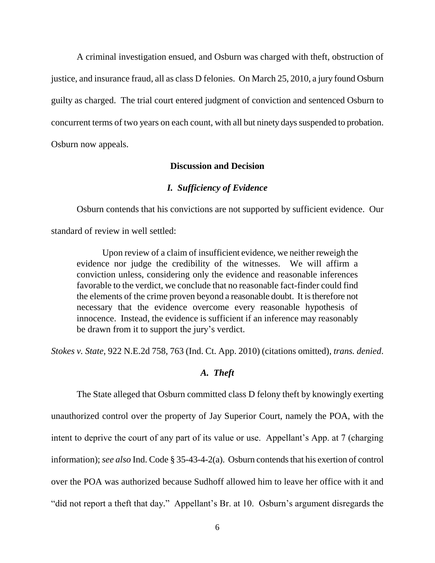A criminal investigation ensued, and Osburn was charged with theft, obstruction of justice, and insurance fraud, all as class D felonies. On March 25, 2010, a jury found Osburn guilty as charged. The trial court entered judgment of conviction and sentenced Osburn to concurrent terms of two years on each count, with all but ninety days suspended to probation. Osburn now appeals.

#### **Discussion and Decision**

#### *I. Sufficiency of Evidence*

Osburn contends that his convictions are not supported by sufficient evidence. Our standard of review in well settled:

Upon review of a claim of insufficient evidence, we neither reweigh the evidence nor judge the credibility of the witnesses. We will affirm a conviction unless, considering only the evidence and reasonable inferences favorable to the verdict, we conclude that no reasonable fact-finder could find the elements of the crime proven beyond a reasonable doubt. It is therefore not necessary that the evidence overcome every reasonable hypothesis of innocence. Instead, the evidence is sufficient if an inference may reasonably be drawn from it to support the jury's verdict.

*Stokes v. State*, 922 N.E.2d 758, 763 (Ind. Ct. App. 2010) (citations omitted), *trans. denied*.

#### *A. Theft*

The State alleged that Osburn committed class D felony theft by knowingly exerting unauthorized control over the property of Jay Superior Court, namely the POA, with the intent to deprive the court of any part of its value or use. Appellant's App. at 7 (charging information); *see also* Ind. Code § 35-43-4-2(a). Osburn contends that his exertion of control over the POA was authorized because Sudhoff allowed him to leave her office with it and "did not report a theft that day." Appellant"s Br. at 10. Osburn"s argument disregards the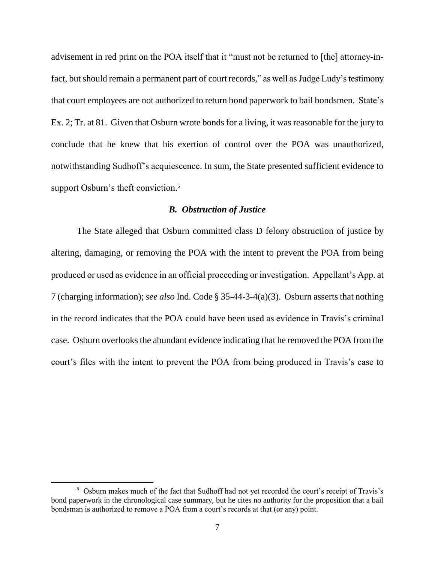advisement in red print on the POA itself that it "must not be returned to [the] attorney-infact, but should remain a permanent part of court records," as well as Judge Ludy's testimony that court employees are not authorized to return bond paperwork to bail bondsmen. State"s Ex. 2; Tr. at 81. Given that Osburn wrote bonds for a living, it was reasonable for the jury to conclude that he knew that his exertion of control over the POA was unauthorized, notwithstanding Sudhoff"s acquiescence. In sum, the State presented sufficient evidence to support Osburn's theft conviction.<sup>5</sup>

#### *B. Obstruction of Justice*

The State alleged that Osburn committed class D felony obstruction of justice by altering, damaging, or removing the POA with the intent to prevent the POA from being produced or used as evidence in an official proceeding or investigation. Appellant"s App. at 7 (charging information); *see also* Ind. Code § 35-44-3-4(a)(3). Osburn asserts that nothing in the record indicates that the POA could have been used as evidence in Travis"s criminal case. Osburn overlooks the abundant evidence indicating that he removed the POA from the court's files with the intent to prevent the POA from being produced in Travis's case to

<sup>&</sup>lt;sup>5</sup> Osburn makes much of the fact that Sudhoff had not yet recorded the court's receipt of Travis's bond paperwork in the chronological case summary, but he cites no authority for the proposition that a bail bondsman is authorized to remove a POA from a court's records at that (or any) point.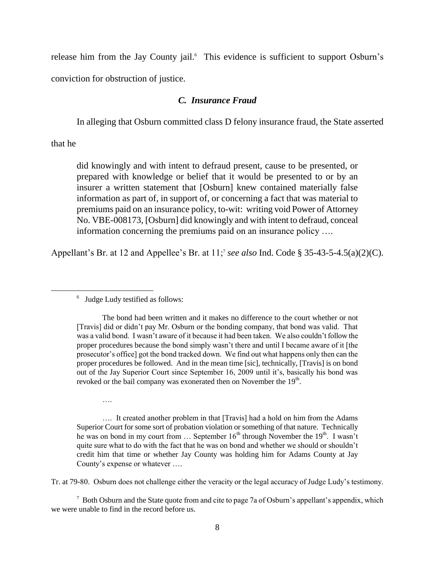release him from the Jay County jail.<sup>6</sup> This evidence is sufficient to support Osburn's conviction for obstruction of justice.

#### *C. Insurance Fraud*

In alleging that Osburn committed class D felony insurance fraud, the State asserted

that he

 $\overline{a}$ 

did knowingly and with intent to defraud present, cause to be presented, or prepared with knowledge or belief that it would be presented to or by an insurer a written statement that [Osburn] knew contained materially false information as part of, in support of, or concerning a fact that was material to premiums paid on an insurance policy, to-wit: writing void Power of Attorney No. VBE-008173, [Osburn] did knowingly and with intent to defraud, conceal information concerning the premiums paid on an insurance policy ….

Appellant"s Br. at 12 and Appellee"s Br. at 11;<sup>7</sup> *see also* Ind. Code § 35-43-5-4.5(a)(2)(C).

….

…. It created another problem in that [Travis] had a hold on him from the Adams Superior Court for some sort of probation violation or something of that nature. Technically he was on bond in my court from  $\ldots$  September 16<sup>th</sup> through November the 19<sup>th</sup>. I wasn't quite sure what to do with the fact that he was on bond and whether we should or shouldn't credit him that time or whether Jay County was holding him for Adams County at Jay County's expense or whatever ....

Tr. at 79-80. Osburn does not challenge either the veracity or the legal accuracy of Judge Ludy"s testimony.

 $7$  Both Osburn and the State quote from and cite to page 7a of Osburn's appellant's appendix, which we were unable to find in the record before us.

<sup>&</sup>lt;sup>6</sup> Judge Ludy testified as follows:

The bond had been written and it makes no difference to the court whether or not [Travis] did or didn"t pay Mr. Osburn or the bonding company, that bond was valid. That was a valid bond. I wasn"t aware of it because it had been taken. We also couldn"t follow the proper procedures because the bond simply wasn"t there and until I became aware of it [the prosecutor"s office] got the bond tracked down. We find out what happens only then can the proper procedures be followed. And in the mean time [sic], technically, [Travis] is on bond out of the Jay Superior Court since September 16, 2009 until it"s, basically his bond was revoked or the bail company was exonerated then on November the  $19<sup>th</sup>$ .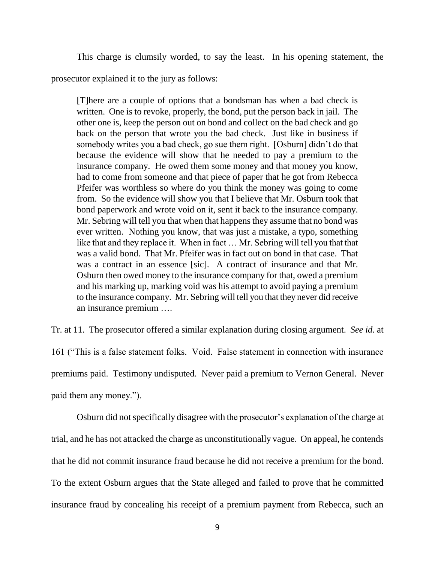This charge is clumsily worded, to say the least. In his opening statement, the

prosecutor explained it to the jury as follows:

[T]here are a couple of options that a bondsman has when a bad check is written. One is to revoke, properly, the bond, put the person back in jail. The other one is, keep the person out on bond and collect on the bad check and go back on the person that wrote you the bad check. Just like in business if somebody writes you a bad check, go sue them right. [Osburn] didn't do that because the evidence will show that he needed to pay a premium to the insurance company. He owed them some money and that money you know, had to come from someone and that piece of paper that he got from Rebecca Pfeifer was worthless so where do you think the money was going to come from. So the evidence will show you that I believe that Mr. Osburn took that bond paperwork and wrote void on it, sent it back to the insurance company. Mr. Sebring will tell you that when that happens they assume that no bond was ever written. Nothing you know, that was just a mistake, a typo, something like that and they replace it. When in fact … Mr. Sebring will tell you that that was a valid bond. That Mr. Pfeifer was in fact out on bond in that case. That was a contract in an essence [sic]. A contract of insurance and that Mr. Osburn then owed money to the insurance company for that, owed a premium and his marking up, marking void was his attempt to avoid paying a premium to the insurance company. Mr. Sebring will tell you that they never did receive an insurance premium ….

Tr. at 11. The prosecutor offered a similar explanation during closing argument. *See id*. at 161 ("This is a false statement folks. Void. False statement in connection with insurance premiums paid. Testimony undisputed. Never paid a premium to Vernon General. Never paid them any money.").

Osburn did not specifically disagree with the prosecutor's explanation of the charge at trial, and he has not attacked the charge as unconstitutionally vague. On appeal, he contends that he did not commit insurance fraud because he did not receive a premium for the bond. To the extent Osburn argues that the State alleged and failed to prove that he committed insurance fraud by concealing his receipt of a premium payment from Rebecca, such an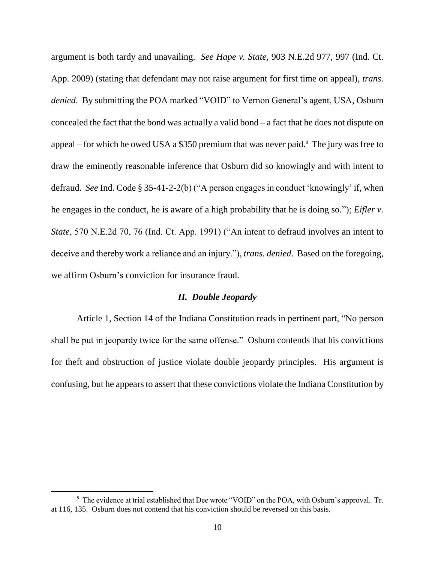argument is both tardy and unavailing. *See Hape v. State*, 903 N.E.2d 977, 997 (Ind. Ct. App. 2009) (stating that defendant may not raise argument for first time on appeal), *trans. denied*. By submitting the POA marked "VOID" to Vernon General's agent, USA, Osburn concealed the fact that the bond was actually a valid bond – a fact that he does not dispute on appeal – for which he owed USA a \$350 premium that was never paid. 8 The jury was free to draw the eminently reasonable inference that Osburn did so knowingly and with intent to defraud. *See* Ind. Code § 35-41-2-2(b) ("A person engages in conduct "knowingly" if, when he engages in the conduct, he is aware of a high probability that he is doing so."); *Eifler v. State*, 570 N.E.2d 70, 76 (Ind. Ct. App. 1991) ("An intent to defraud involves an intent to deceive and thereby work a reliance and an injury."), *trans. denied*. Based on the foregoing, we affirm Osburn"s conviction for insurance fraud.

#### *II. Double Jeopardy*

Article 1, Section 14 of the Indiana Constitution reads in pertinent part, "No person shall be put in jeopardy twice for the same offense." Osburn contends that his convictions for theft and obstruction of justice violate double jeopardy principles. His argument is confusing, but he appears to assert that these convictions violate the Indiana Constitution by

<sup>&</sup>lt;sup>8</sup> The evidence at trial established that Dee wrote "VOID" on the POA, with Osburn's approval. Tr. at 116, 135. Osburn does not contend that his conviction should be reversed on this basis.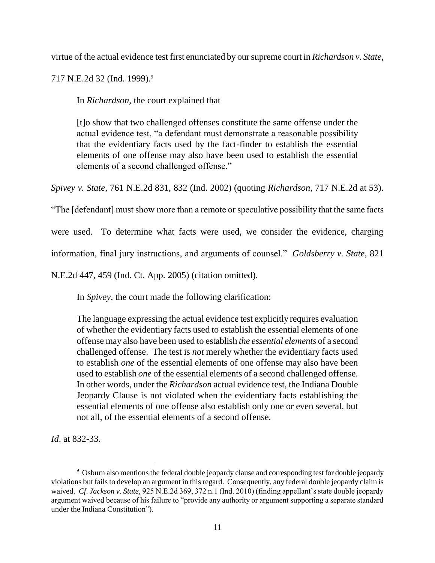virtue of the actual evidence test first enunciated by our supreme court in *Richardson v. State*,

717 N.E.2d 32 (Ind. 1999).<sup>9</sup>

In *Richardson*, the court explained that

[t]o show that two challenged offenses constitute the same offense under the actual evidence test, "a defendant must demonstrate a reasonable possibility that the evidentiary facts used by the fact-finder to establish the essential elements of one offense may also have been used to establish the essential elements of a second challenged offense."

*Spivey v. State*, 761 N.E.2d 831, 832 (Ind. 2002) (quoting *Richardson*, 717 N.E.2d at 53).

"The [defendant] must show more than a remote or speculative possibility that the same facts

were used. To determine what facts were used, we consider the evidence, charging

information, final jury instructions, and arguments of counsel." *Goldsberry v. State*, 821

N.E.2d 447, 459 (Ind. Ct. App. 2005) (citation omitted).

In *Spivey*, the court made the following clarification:

The language expressing the actual evidence test explicitly requires evaluation of whether the evidentiary facts used to establish the essential elements of one offense may also have been used to establish *the essential elements* of a second challenged offense. The test is *not* merely whether the evidentiary facts used to establish *one* of the essential elements of one offense may also have been used to establish *one* of the essential elements of a second challenged offense. In other words, under the *Richardson* actual evidence test, the Indiana Double Jeopardy Clause is not violated when the evidentiary facts establishing the essential elements of one offense also establish only one or even several, but not all, of the essential elements of a second offense.

*Id*. at 832-33.

<sup>&</sup>lt;sup>9</sup> Osburn also mentions the federal double jeopardy clause and corresponding test for double jeopardy violations but fails to develop an argument in this regard. Consequently, any federal double jeopardy claim is waived. *Cf. Jackson v. State*, 925 N.E.2d 369, 372 n.1 (Ind. 2010) (finding appellant's state double jeopardy argument waived because of his failure to "provide any authority or argument supporting a separate standard under the Indiana Constitution").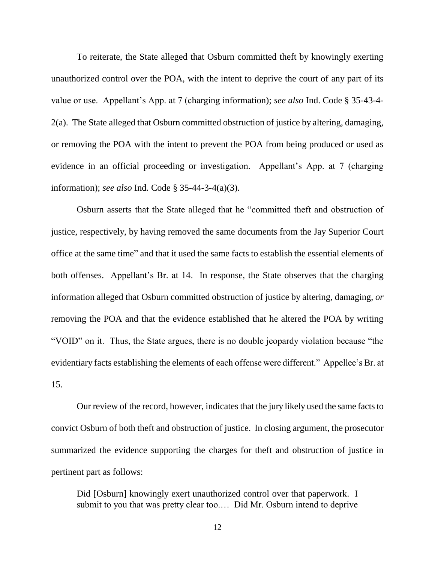To reiterate, the State alleged that Osburn committed theft by knowingly exerting unauthorized control over the POA, with the intent to deprive the court of any part of its value or use. Appellant"s App. at 7 (charging information); *see also* Ind. Code § 35-43-4- 2(a). The State alleged that Osburn committed obstruction of justice by altering, damaging, or removing the POA with the intent to prevent the POA from being produced or used as evidence in an official proceeding or investigation. Appellant"s App. at 7 (charging information); *see also* Ind. Code § 35-44-3-4(a)(3).

Osburn asserts that the State alleged that he "committed theft and obstruction of justice, respectively, by having removed the same documents from the Jay Superior Court office at the same time" and that it used the same facts to establish the essential elements of both offenses. Appellant's Br. at 14. In response, the State observes that the charging information alleged that Osburn committed obstruction of justice by altering, damaging, *or* removing the POA and that the evidence established that he altered the POA by writing "VOID" on it. Thus, the State argues, there is no double jeopardy violation because "the evidentiary facts establishing the elements of each offense were different." Appellee"s Br. at 15.

Our review of the record, however, indicates that the jury likely used the same facts to convict Osburn of both theft and obstruction of justice. In closing argument, the prosecutor summarized the evidence supporting the charges for theft and obstruction of justice in pertinent part as follows:

Did [Osburn] knowingly exert unauthorized control over that paperwork. I submit to you that was pretty clear too.… Did Mr. Osburn intend to deprive